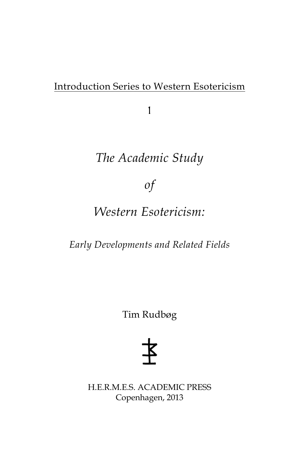## Introduction Series to Western Esotericism

1

# *The Academic Study*

*of* 

# *Western Esotericism:*

*Early Developments and Related Fields*

Tim Rudbøg

H.E.R.M.E.S. ACADEMIC PRESS Copenhagen, 2013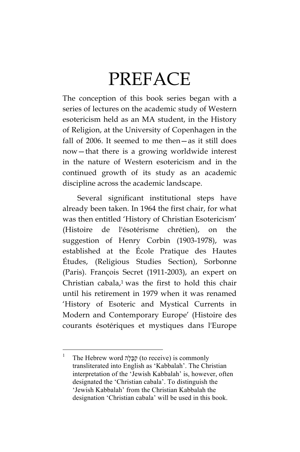# PREFACE

The conception of this book series began with a series of lectures on the academic study of Western esotericism held as an MA student, in the History of Religion, at the University of Copenhagen in the fall of 2006. It seemed to me then—as it still does now—that there is a growing worldwide interest in the nature of Western esotericism and in the continued growth of its study as an academic discipline across the academic landscape.

Several significant institutional steps have already been taken. In 1964 the first chair, for what was then entitled 'History of Christian Esotericism' (Histoire de l'ésotérisme chrétien), on the suggestion of Henry Corbin (1903-1978), was established at the École Pratique des Hautes Études, (Religious Studies Section), Sorbonne (Paris). François Secret (1911-2003), an expert on Christian cabala, $1$  was the first to hold this chair until his retirement in 1979 when it was renamed 'History of Esoteric and Mystical Currents in Modern and Contemporary Europe' (Histoire des courants ésotériques et mystiques dans l'Europe

 $\frac{1}{1}$  The Hebrew word הֲבָּלָה (to receive) is commonly transliterated into English as 'Kabbalah'. The Christian interpretation of the 'Jewish Kabbalah' is, however, often designated the 'Christian cabala'. To distinguish the 'Jewish Kabbalah' from the Christian Kabbalah the designation 'Christian cabala' will be used in this book.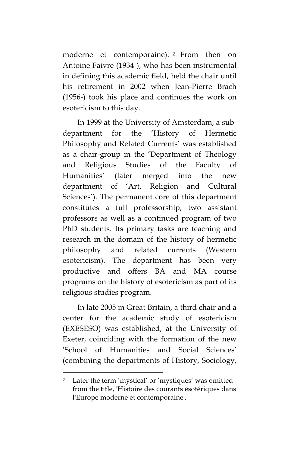moderne et contemporaine). <sup>2</sup> From then on Antoine Faivre (1934-), who has been instrumental in defining this academic field, held the chair until his retirement in 2002 when Jean-Pierre Brach (1956-) took his place and continues the work on esotericism to this day.

In 1999 at the University of Amsterdam, a subdepartment for the 'History of Hermetic Philosophy and Related Currents' was established as a chair-group in the 'Department of Theology and Religious Studies of the Faculty of Humanities' (later merged into the new department of 'Art, Religion and Cultural Sciences'). The permanent core of this department constitutes a full professorship, two assistant professors as well as a continued program of two PhD students. Its primary tasks are teaching and research in the domain of the history of hermetic philosophy and related currents (Western esotericism). The department has been very productive and offers BA and MA course programs on the history of esotericism as part of its religious studies program.

In late 2005 in Great Britain, a third chair and a center for the academic study of esotericism (EXESESO) was established, at the University of Exeter, coinciding with the formation of the new 'School of Humanities and Social Sciences' (combining the departments of History, Sociology,

<u>.</u>

<sup>2</sup> Later the term 'mystical' or 'mystiques' was omitted from the title, 'Histoire des courants ésotériques dans l'Europe moderne et contemporaine'.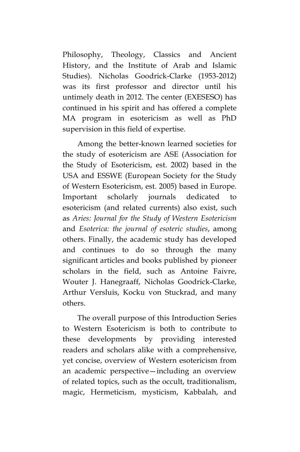Philosophy, Theology, Classics and Ancient History, and the Institute of Arab and Islamic Studies). Nicholas Goodrick-Clarke (1953-2012) was its first professor and director until his untimely death in 2012. The center (EXESESO) has continued in his spirit and has offered a complete MA program in esotericism as well as PhD supervision in this field of expertise.

Among the better-known learned societies for the study of esotericism are ASE (Association for the Study of Esotericism, est. 2002) based in the USA and ESSWE (European Society for the Study of Western Esotericism, est. 2005) based in Europe. Important scholarly journals dedicated to esotericism (and related currents) also exist, such as *Aries: Journal for the Study of Western Esotericism* and *Esoterica: the journal of esoteric studies*, among others. Finally, the academic study has developed and continues to do so through the many significant articles and books published by pioneer scholars in the field, such as Antoine Faivre, Wouter J. Hanegraaff, Nicholas Goodrick-Clarke, Arthur Versluis, Kocku von Stuckrad, and many others.

The overall purpose of this Introduction Series to Western Esotericism is both to contribute to these developments by providing interested readers and scholars alike with a comprehensive, yet concise, overview of Western esotericism from an academic perspective—including an overview of related topics, such as the occult, traditionalism, magic, Hermeticism, mysticism, Kabbalah, and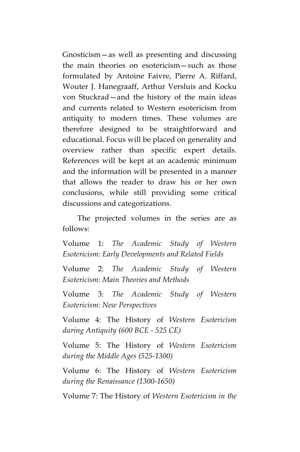Gnosticism—as well as presenting and discussing the main theories on esotericism—such as those formulated by Antoine Faivre, Pierre A. Riffard, Wouter J. Hanegraaff, Arthur Versluis and Kocku von Stuckrad—and the history of the main ideas and currents related to Western esotericism from antiquity to modern times. These volumes are therefore designed to be straightforward and educational. Focus will be placed on generality and overview rather than specific expert details. References will be kept at an academic minimum and the information will be presented in a manner that allows the reader to draw his or her own conclusions, while still providing some critical discussions and categorizations.

The projected volumes in the series are as follows:

Volume 1: *The Academic Study of Western Esotericism: Early Developments and Related Fields*

Volume 2: *The Academic Study of Western Esotericism: Main Theories and Methods*

Volume 3: *The Academic Study of Western Esotericism: New Perspectives* 

Volume 4: The History of *Western Esotericism during Antiquity (600 BCE - 525 CE)*

Volume 5: The History of *Western Esotericism during the Middle Ages (525-1300)*

Volume 6: The History of *Western Esotericism during the Renaissance (1300-1650)*

Volume 7: The History of *Western Esotericism in the*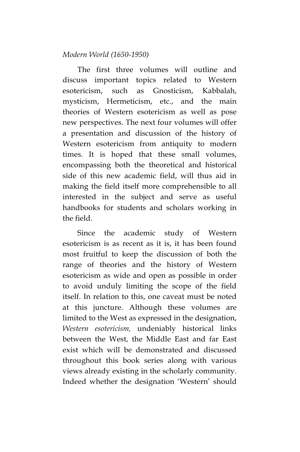## *Modern World (1650-1950)*

The first three volumes will outline and discuss important topics related to Western esotericism, such as Gnosticism, Kabbalah, mysticism, Hermeticism, etc., and the main theories of Western esotericism as well as pose new perspectives. The next four volumes will offer a presentation and discussion of the history of Western esotericism from antiquity to modern times. It is hoped that these small volumes, encompassing both the theoretical and historical side of this new academic field, will thus aid in making the field itself more comprehensible to all interested in the subject and serve as useful handbooks for students and scholars working in the field.

Since the academic study of Western esotericism is as recent as it is, it has been found most fruitful to keep the discussion of both the range of theories and the history of Western esotericism as wide and open as possible in order to avoid unduly limiting the scope of the field itself. In relation to this, one caveat must be noted at this juncture. Although these volumes are limited to the West as expressed in the designation, *Western esotericism,* undeniably historical links between the West, the Middle East and far East exist which will be demonstrated and discussed throughout this book series along with various views already existing in the scholarly community. Indeed whether the designation 'Western' should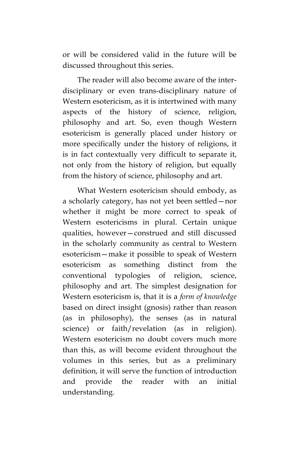or will be considered valid in the future will be discussed throughout this series.

The reader will also become aware of the interdisciplinary or even trans-disciplinary nature of Western esotericism, as it is intertwined with many aspects of the history of science, religion, philosophy and art. So, even though Western esotericism is generally placed under history or more specifically under the history of religions, it is in fact contextually very difficult to separate it, not only from the history of religion, but equally from the history of science, philosophy and art.

What Western esotericism should embody, as a scholarly category, has not yet been settled—nor whether it might be more correct to speak of Western esotericisms in plural. Certain unique qualities, however—construed and still discussed in the scholarly community as central to Western esotericism—make it possible to speak of Western esotericism as something distinct from the conventional typologies of religion, science, philosophy and art. The simplest designation for Western esotericism is, that it is a *form of knowledge* based on direct insight (gnosis) rather than reason (as in philosophy), the senses (as in natural science) or faith/revelation (as in religion). Western esotericism no doubt covers much more than this, as will become evident throughout the volumes in this series, but as a preliminary definition, it will serve the function of introduction and provide the reader with an initial understanding.